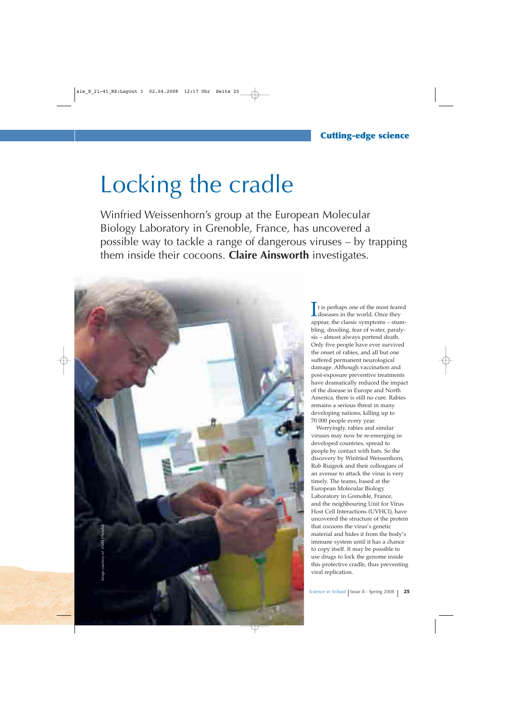## Locking the cradle

Winfried Weissenhorn's group at the European Molecular Biology Laboratory in Grenoble, France, has uncovered a possible way to tackle a range of dangerous viruses – by trapping them inside their cocoons. **Claire Ainsworth** investigates.



It is perhaps one of the most feared<br>diseases in the world. Once they<br>appear the classic symptoms stum diseases in the world. Once they appear, the classic symptoms – stumbling, drooling, fear of water, paralysis – almost always portend death. Only five people have ever survived the onset of rabies, and all but one suffered permanent neurological damage. Although vaccination and post-exposure preventive treatments have dramatically reduced the impact of the disease in Europe and North America, there is still no cure. Rabies remains a serious threat in many developing nations, killing up to 70 000 people every year.

Worryingly, rabies and similar viruses may now be re-emerging in developed countries, spread to people by contact with bats. So the discovery by Winfried Weissenhorn, Rob Ruigrok and their colleagues of an avenue to attack the virus is very timely. The teams, based at the European Molecular Biology Laboratory in Grenoble, France, and the neighbouring Unit for Virus Host Cell Interactions (UVHCI), have uncovered the structure of the protein that cocoons the virus's genetic material and hides it from the body's immune system until it has a chance to copy itself. It may be possible to use drugs to lock the genome inside this protective cradle, thus preventing viral replication.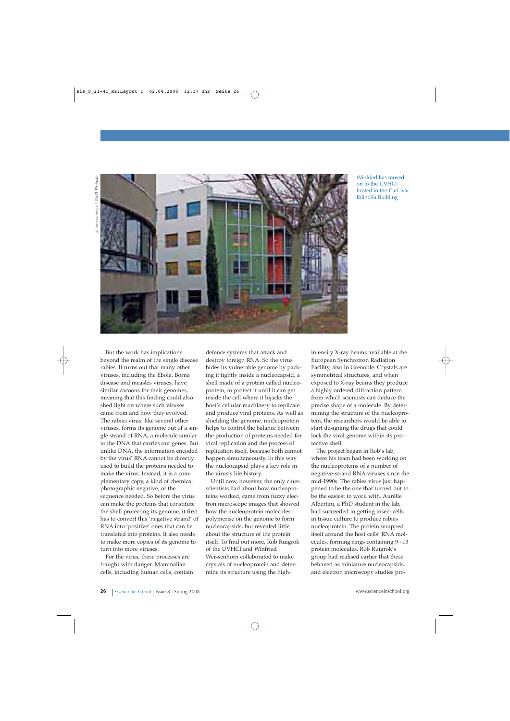

Winfried has moved on to the UVHCI hosted in the Carl-Ivar Brändén Building

But the work has implications beyond the realm of the single disease rabies. It turns out that many other viruses, including the Ebola, Borna disease and measles viruses, have similar cocoons for their genomes, meaning that this finding could also shed light on where such viruses came from and how they evolved. The rabies virus, like several other viruses, forms its genome out of a single strand of RNA, a molecule similar to the DNA that carries our genes. But unlike DNA, the information encoded by the virus' RNA cannot be directly used to build the proteins needed to make the virus. Instead, it is a complementary copy, a kind of chemical photographic negative, of the sequence needed. So before the virus can make the proteins that constitute the shell protecting its genome, it first has to convert this 'negative strand' of RNA into 'positive' ones that can be translated into proteins. It also needs to make more copies of its genome to turn into more viruses.

For the virus, these processes are fraught with danger. Mammalian cells, including human cells, contain

defence systems that attack and destroy foreign RNA. So the virus hides its vulnerable genome by packing it tightly inside a nucleocapsid, a shell made of a protein called nucleoprotein, to protect it until it can get inside the cell where it hijacks the host's cellular machinery to replicate and produce viral proteins. As well as shielding the genome, nucleoprotein helps to control the balance between the production of proteins needed for viral replication and the process of replication itself, because both cannot happen simultaneously. In this way the nucleocapsid plays a key role in the virus's life history.

Until now, however, the only clues scientists had about how nucleoproteins worked, came from fuzzy electron microscope images that showed how the nucleoprotein molecules polymerise on the genome to form nucleocapsids, but revealed little about the structure of the protein itself. To find out more, Rob Ruigrok of the UVHCI and Winfried Weissenhorn collaborated to make crystals of nucleoprotein and determine its structure using the highintensity X-ray beams available at the European Synchrotron Radiation Facility, also in Grenoble. Crystals are symmetrical structures, and when exposed to X-ray beams they produce a highly ordered diffraction pattern from which scientists can deduce the precise shape of a molecule. By determining the structure of the nucleoprotein, the researchers would be able to start designing the drugs that could lock the viral genome within its protective shell.

The project began in Rob's lab, where his team had been working on the nucleoproteins of a number of negative-strand RNA viruses since the mid-1990s. The rabies virus just happened to be the one that turned out to be the easiest to work with. Aurélie Albertini, a PhD student in the lab, had succeeded in getting insect cells in tissue culture to produce rabies nucleoprotein. The protein wrapped itself around the host cells' RNA molecules, forming rings containing 9 - 13 protein molecules. Rob Ruigrok's group had realised earlier that these behaved as miniature nucleocapsids, and electron microscopy studies pro-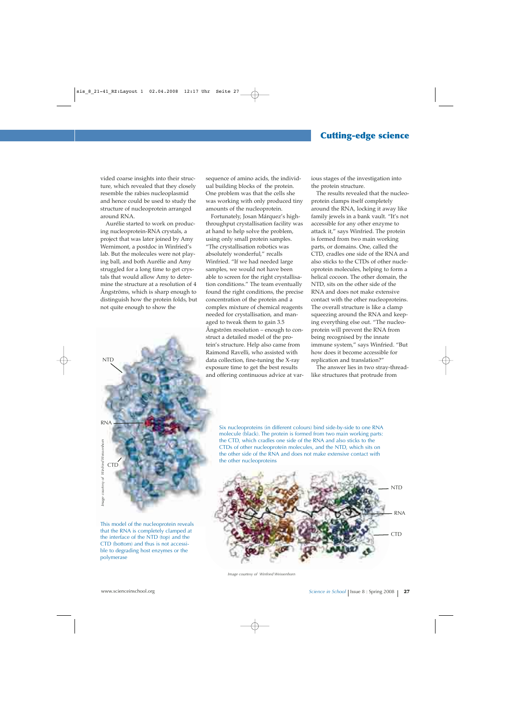## **Cutting-edge science**

vided coarse insights into their structure, which revealed that they closely resemble the rabies nucleoplasmid and hence could be used to study the structure of nucleoprotein arranged around RNA.

Aurélie started to work on producing nucleoprotein-RNA crystals, a project that was later joined by Amy Wernimont, a postdoc in Winfried's lab. But the molecules were not playing ball, and both Aurélie and Amy struggled for a long time to get crystals that would allow Amy to determine the structure at a resolution of 4 Ångströms, which is sharp enough to distinguish how the protein folds, but not quite enough to show the



This model of the nucleoprotein reveals that the RNA is completely clamped at the interface of the NTD (top) and the CTD (bottom) and thus is not accessible to degrading host enzymes or the polymerase

sequence of amino acids, the individual building blocks of the protein. One problem was that the cells she was working with only produced tiny amounts of the nucleoprotein.

Fortunately, Josan Márquez's highthroughput crystallisation facility was at hand to help solve the problem, using only small protein samples. "The crystallisation robotics was absolutely wonderful," recalls Winfried. "If we had needed large samples, we would not have been able to screen for the right crystallisation conditions." The team eventually found the right conditions, the precise concentration of the protein and a complex mixture of chemical reagents needed for crystallisation, and managed to tweak them to gain 3.5 Ångström resolution – enough to construct a detailed model of the protein's structure. Help also came from Raimond Ravelli, who assisted with data collection, fine-tuning the X-ray exposure time to get the best results and offering continuous advice at various stages of the investigation into the protein structure.

The results revealed that the nucleoprotein clamps itself completely around the RNA, locking it away like family jewels in a bank vault. "It's not accessible for any other enzyme to attack it," says Winfried. The protein is formed from two main working parts, or domains. One, called the CTD, cradles one side of the RNA and also sticks to the CTDs of other nucleoprotein molecules, helping to form a helical cocoon. The other domain, the NTD, sits on the other side of the RNA and does not make extensive contact with the other nucleoproteins. The overall structure is like a clamp squeezing around the RNA and keeping everything else out. "The nucleoprotein will prevent the RNA from being recognised by the innate immune system," says Winfried. "But how does it become accessible for replication and translation?"

The answer lies in two stray-threadlike structures that protrude from

Six nucleoproteins (in different colours) bind side-by-side to one RNA molecule (black). The protein is formed from two main working parts: the CTD, which cradles one side of the RNA and also sticks to the CTDs of other nucleoprotein molecules, and the NTD, which sits on the other side of the RNA and does not make extensive contact with the other nucleoproteins



*Image courtesy of Winfried Weissenhorn*